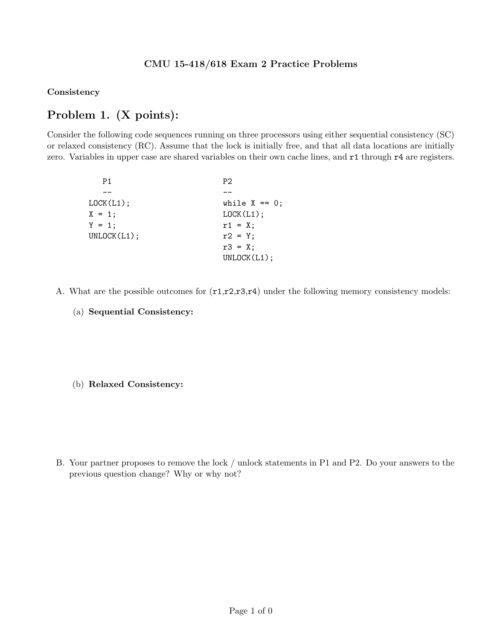### CMU 15-418/618 Exam 2 Practice Problems

Consistency

# Problem 1. (X points):

Consider the following code sequences running on three processors using either sequential consistency (SC) or relaxed consistency (RC). Assume that the lock is initially free, and that all data locations are initially zero. Variables in upper case are shared variables on their own cache lines, and r1 through r4 are registers.

| P1          | P2.              |
|-------------|------------------|
|             |                  |
| L OCK(L1);  | while $X == 0$ ; |
| $X = 1$ ;   | LOCK(L1);        |
| $Y = 1$ ;   | $r1 = X$ ;       |
| UNLOCK(L1); | $r2 = Y$ ;       |
|             | $r3 = X$ ;       |
|             | UNLOCK(L1);      |

- A. What are the possible outcomes for  $(r1,r2,r3,r4)$  under the following memory consistency models:
	- (a) Sequential Consistency:

#### (b) Relaxed Consistency:

B. Your partner proposes to remove the lock / unlock statements in P1 and P2. Do your answers to the previous question change? Why or why not?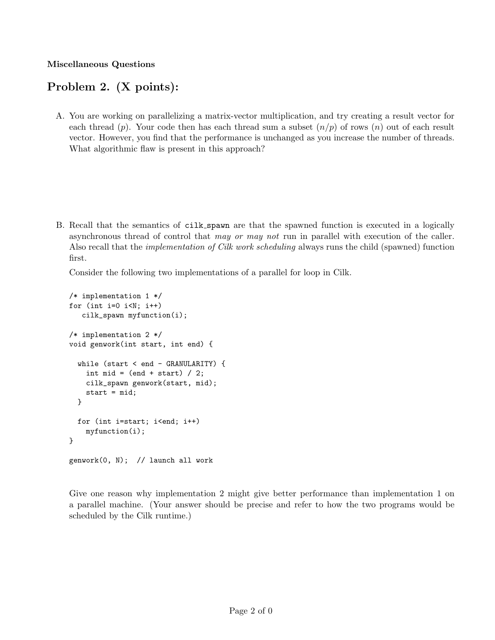#### Miscellaneous Questions

## Problem 2. (X points):

A. You are working on parallelizing a matrix-vector multiplication, and try creating a result vector for each thread (p). Your code then has each thread sum a subset  $(n/p)$  of rows (n) out of each result vector. However, you find that the performance is unchanged as you increase the number of threads. What algorithmic flaw is present in this approach?

B. Recall that the semantics of cilk spawn are that the spawned function is executed in a logically asynchronous thread of control that may or may not run in parallel with execution of the caller. Also recall that the *implementation of Cilk work scheduling* always runs the child (spawned) function first.

Consider the following two implementations of a parallel for loop in Cilk.

```
/* implementation 1 */
for (int i=0 i< N; i++)cilk_spawn myfunction(i);
/* implementation 2 */
void genwork(int start, int end) {
  while (start < end - GRANULARITY) {
    int mid = (end + start) / 2;
    cilk_spawn genwork(start, mid);
    start = mid;
  }
  for (int i=start; i<end; i++)
    myfunction(i);
}
genwork(0, N); // launch all work
```
Give one reason why implementation 2 might give better performance than implementation 1 on a parallel machine. (Your answer should be precise and refer to how the two programs would be scheduled by the Cilk runtime.)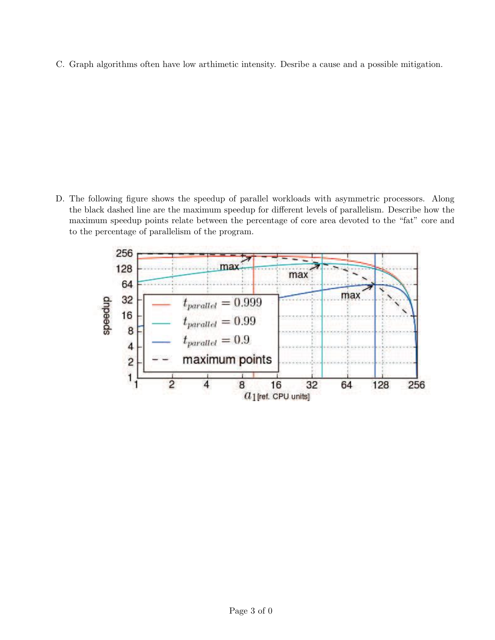C. Graph algorithms often have low arthimetic intensity. Desribe a cause and a possible mitigation.

D. The following figure shows the speedup of parallel workloads with asymmetric processors. Along the black dashed line are the maximum speedup for different levels of parallelism. Describe how the maximum speedup points relate between the percentage of core area devoted to the "fat" core and to the percentage of parallelism of the program.

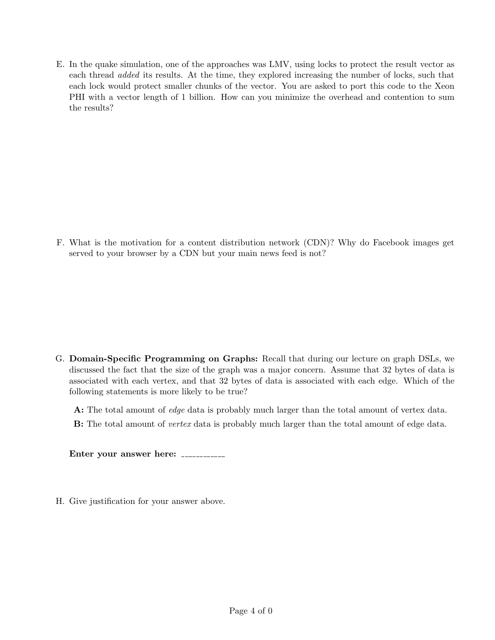E. In the quake simulation, one of the approaches was LMV, using locks to protect the result vector as each thread added its results. At the time, they explored increasing the number of locks, such that each lock would protect smaller chunks of the vector. You are asked to port this code to the Xeon PHI with a vector length of 1 billion. How can you minimize the overhead and contention to sum the results?

F. What is the motivation for a content distribution network (CDN)? Why do Facebook images get served to your browser by a CDN but your main news feed is not?

G. Domain-Specific Programming on Graphs: Recall that during our lecture on graph DSLs, we discussed the fact that the size of the graph was a major concern. Assume that 32 bytes of data is associated with each vertex, and that 32 bytes of data is associated with each edge. Which of the following statements is more likely to be true?

A: The total amount of *edge* data is probably much larger than the total amount of vertex data.

**B:** The total amount of *vertex* data is probably much larger than the total amount of edge data.

Enter your answer here:

H. Give justification for your answer above.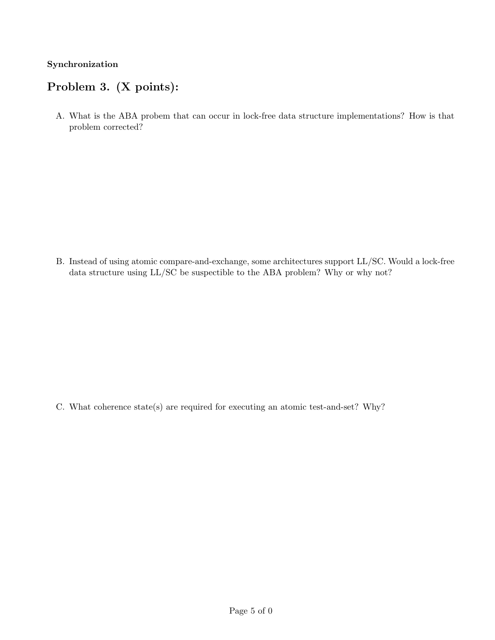### Synchronization

### Problem 3. (X points):

A. What is the ABA probem that can occur in lock-free data structure implementations? How is that problem corrected?

B. Instead of using atomic compare-and-exchange, some architectures support LL/SC. Would a lock-free data structure using LL/SC be suspectible to the ABA problem? Why or why not?

C. What coherence state(s) are required for executing an atomic test-and-set? Why?